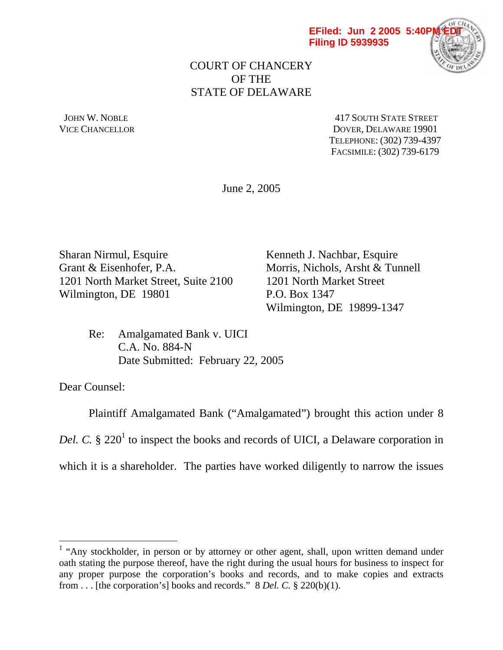

## COURT OF CHANCERY OF THE STATE OF DELAWARE

JOHN W. NOBLE **AND STATE STREET** 417 SOUTH STATE STREET VICE CHANCELLOR DOVER, DELAWARE 19901 TELEPHONE: (302) 739-4397 FACSIMILE: (302) 739-6179

June 2, 2005

Sharan Nirmul, Esquire Kenneth J. Nachbar, Esquire Grant & Eisenhofer, P.A. Morris, Nichols, Arsht & Tunnell 1201 North Market Street, Suite 2100 1201 North Market Street Wilmington, DE 19801 P.O. Box 1347

Wilmington, DE 19899-1347

 Re: Amalgamated Bank v. UICI C.A. No. 884-N Date Submitted: February 22, 2005

Dear Counsel:

 $\overline{a}$ 

 Plaintiff Amalgamated Bank ("Amalgamated") brought this action under 8 Del. C.  $\S 220<sup>1</sup>$  to inspect the books and records of UICI, a Delaware corporation in which it is a shareholder. The parties have worked diligently to narrow the issues

<sup>&</sup>lt;sup>1</sup> "Any stockholder, in person or by attorney or other agent, shall, upon written demand under oath stating the purpose thereof, have the right during the usual hours for business to inspect for any proper purpose the corporation's books and records, and to make copies and extracts from . . . [the corporation's] books and records." 8 *Del. C.* § 220(b)(1).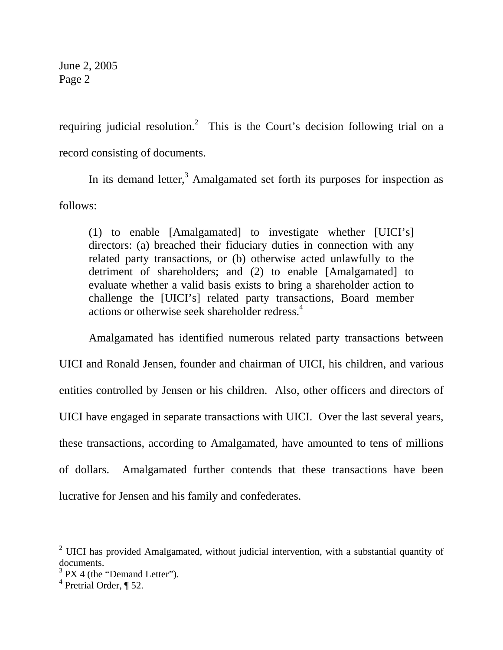requiring judicial resolution.<sup>2</sup> This is the Court's decision following trial on a record consisting of documents.

In its demand letter, $3$  Amalgamated set forth its purposes for inspection as follows:

(1) to enable [Amalgamated] to investigate whether [UICI's] directors: (a) breached their fiduciary duties in connection with any related party transactions, or (b) otherwise acted unlawfully to the detriment of shareholders; and (2) to enable [Amalgamated] to evaluate whether a valid basis exists to bring a shareholder action to challenge the [UICI's] related party transactions, Board member actions or otherwise seek shareholder redress.<sup>4</sup>

 Amalgamated has identified numerous related party transactions between UICI and Ronald Jensen, founder and chairman of UICI, his children, and various entities controlled by Jensen or his children. Also, other officers and directors of UICI have engaged in separate transactions with UICI. Over the last several years, these transactions, according to Amalgamated, have amounted to tens of millions of dollars. Amalgamated further contends that these transactions have been lucrative for Jensen and his family and confederates.

 $2$  UICI has provided Amalgamated, without judicial intervention, with a substantial quantity of documents.

 $3$  PX 4 (the "Demand Letter").

<sup>&</sup>lt;sup>4</sup> Pretrial Order, ¶ 52.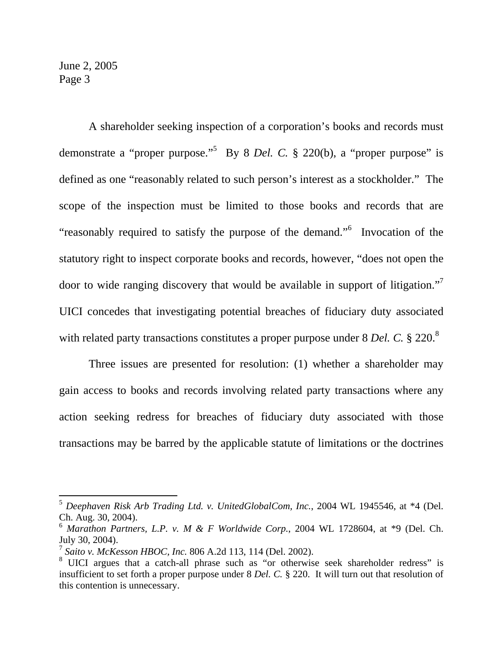$\overline{a}$ 

 A shareholder seeking inspection of a corporation's books and records must demonstrate a "proper purpose."<sup>5</sup> By 8 *Del. C.* § 220(b), a "proper purpose" is defined as one "reasonably related to such person's interest as a stockholder." The scope of the inspection must be limited to those books and records that are "reasonably required to satisfy the purpose of the demand."<sup>6</sup> Invocation of the statutory right to inspect corporate books and records, however, "does not open the door to wide ranging discovery that would be available in support of litigation."<sup>7</sup> UICI concedes that investigating potential breaches of fiduciary duty associated with related party transactions constitutes a proper purpose under 8 *Del. C.* § 220.<sup>8</sup>

 Three issues are presented for resolution: (1) whether a shareholder may gain access to books and records involving related party transactions where any action seeking redress for breaches of fiduciary duty associated with those transactions may be barred by the applicable statute of limitations or the doctrines

<sup>5</sup> *Deephaven Risk Arb Trading Ltd. v. UnitedGlobalCom, Inc.*, 2004 WL 1945546, at \*4 (Del. Ch. Aug. 30, 2004).

<sup>6</sup> *Marathon Partners, L.P. v. M & F Worldwide Corp.*, 2004 WL 1728604, at \*9 (Del. Ch. July 30, 2004).

<sup>7</sup> *Saito v. McKesson HBOC, Inc.* 806 A.2d 113, 114 (Del. 2002).

<sup>&</sup>lt;sup>8</sup> UICI argues that a catch-all phrase such as "or otherwise seek shareholder redress" is insufficient to set forth a proper purpose under 8 *Del. C.* § 220. It will turn out that resolution of this contention is unnecessary.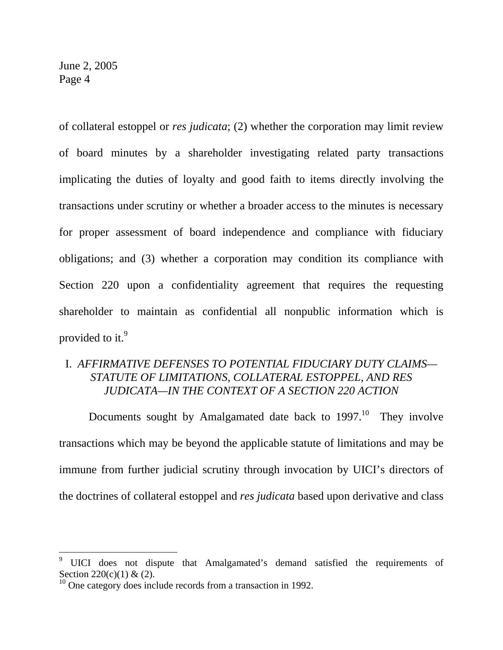$\overline{a}$ 

of collateral estoppel or *res judicata*; (2) whether the corporation may limit review of board minutes by a shareholder investigating related party transactions implicating the duties of loyalty and good faith to items directly involving the transactions under scrutiny or whether a broader access to the minutes is necessary for proper assessment of board independence and compliance with fiduciary obligations; and (3) whether a corporation may condition its compliance with Section 220 upon a confidentiality agreement that requires the requesting shareholder to maintain as confidential all nonpublic information which is provided to it.<sup>9</sup>

# I. *AFFIRMATIVE DEFENSES TO POTENTIAL FIDUCIARY DUTY CLAIMS— STATUTE OF LIMITATIONS, COLLATERAL ESTOPPEL, AND RES JUDICATA—IN THE CONTEXT OF A SECTION 220 ACTION*

Documents sought by Amalgamated date back to  $1997<sup>10</sup>$  They involve transactions which may be beyond the applicable statute of limitations and may be immune from further judicial scrutiny through invocation by UICI's directors of the doctrines of collateral estoppel and *res judicata* based upon derivative and class

<sup>9</sup> UICI does not dispute that Amalgamated's demand satisfied the requirements of Section 220(c)(1) & (2).

 $10$  One category does include records from a transaction in 1992.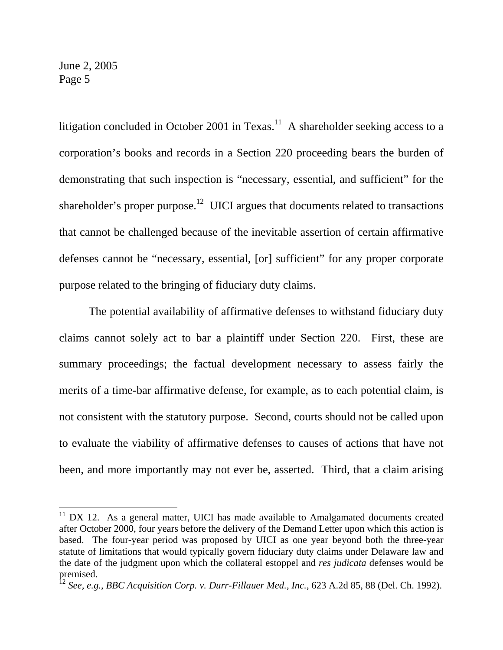$\overline{a}$ 

litigation concluded in October 2001 in Texas.<sup>11</sup> A shareholder seeking access to a corporation's books and records in a Section 220 proceeding bears the burden of demonstrating that such inspection is "necessary, essential, and sufficient" for the shareholder's proper purpose.<sup>12</sup> UICI argues that documents related to transactions that cannot be challenged because of the inevitable assertion of certain affirmative defenses cannot be "necessary, essential, [or] sufficient" for any proper corporate purpose related to the bringing of fiduciary duty claims.

 The potential availability of affirmative defenses to withstand fiduciary duty claims cannot solely act to bar a plaintiff under Section 220. First, these are summary proceedings; the factual development necessary to assess fairly the merits of a time-bar affirmative defense, for example, as to each potential claim, is not consistent with the statutory purpose. Second, courts should not be called upon to evaluate the viability of affirmative defenses to causes of actions that have not been, and more importantly may not ever be, asserted. Third, that a claim arising

 $11$  DX 12. As a general matter, UICI has made available to Amalgamated documents created after October 2000, four years before the delivery of the Demand Letter upon which this action is based. The four-year period was proposed by UICI as one year beyond both the three-year statute of limitations that would typically govern fiduciary duty claims under Delaware law and the date of the judgment upon which the collateral estoppel and *res judicata* defenses would be premised.

<sup>12</sup> *See, e.g.*, *BBC Acquisition Corp. v. Durr-Fillauer Med., Inc.*, 623 A.2d 85, 88 (Del. Ch. 1992).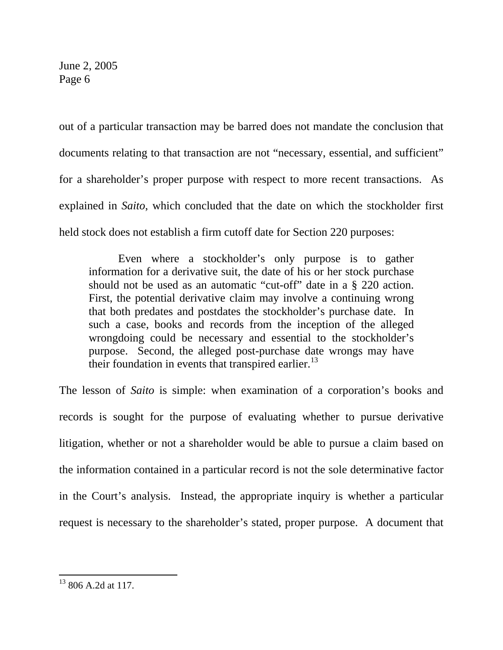out of a particular transaction may be barred does not mandate the conclusion that documents relating to that transaction are not "necessary, essential, and sufficient" for a shareholder's proper purpose with respect to more recent transactions. As explained in *Saito*, which concluded that the date on which the stockholder first held stock does not establish a firm cutoff date for Section 220 purposes:

 Even where a stockholder's only purpose is to gather information for a derivative suit, the date of his or her stock purchase should not be used as an automatic "cut-off" date in a § 220 action. First, the potential derivative claim may involve a continuing wrong that both predates and postdates the stockholder's purchase date. In such a case, books and records from the inception of the alleged wrongdoing could be necessary and essential to the stockholder's purpose. Second, the alleged post-purchase date wrongs may have their foundation in events that transpired earlier.<sup>13</sup>

The lesson of *Saito* is simple: when examination of a corporation's books and records is sought for the purpose of evaluating whether to pursue derivative litigation, whether or not a shareholder would be able to pursue a claim based on the information contained in a particular record is not the sole determinative factor in the Court's analysis. Instead, the appropriate inquiry is whether a particular request is necessary to the shareholder's stated, proper purpose. A document that

 $13,806$  A.2d at 117.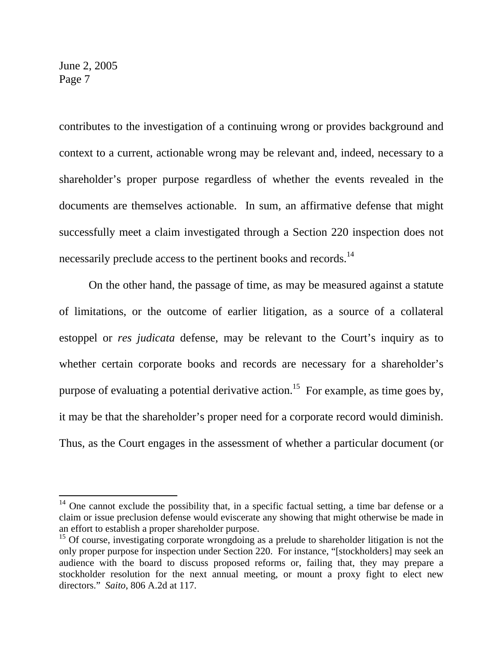$\overline{a}$ 

contributes to the investigation of a continuing wrong or provides background and context to a current, actionable wrong may be relevant and, indeed, necessary to a shareholder's proper purpose regardless of whether the events revealed in the documents are themselves actionable. In sum, an affirmative defense that might successfully meet a claim investigated through a Section 220 inspection does not necessarily preclude access to the pertinent books and records.<sup>14</sup>

 On the other hand, the passage of time, as may be measured against a statute of limitations, or the outcome of earlier litigation, as a source of a collateral estoppel or *res judicata* defense, may be relevant to the Court's inquiry as to whether certain corporate books and records are necessary for a shareholder's purpose of evaluating a potential derivative action.<sup>15</sup> For example, as time goes by, it may be that the shareholder's proper need for a corporate record would diminish. Thus, as the Court engages in the assessment of whether a particular document (or

 $14$  One cannot exclude the possibility that, in a specific factual setting, a time bar defense or a claim or issue preclusion defense would eviscerate any showing that might otherwise be made in an effort to establish a proper shareholder purpose.

 $15$  Of course, investigating corporate wrongdoing as a prelude to shareholder litigation is not the only proper purpose for inspection under Section 220. For instance, "[stockholders] may seek an audience with the board to discuss proposed reforms or, failing that, they may prepare a stockholder resolution for the next annual meeting, or mount a proxy fight to elect new directors." *Saito*, 806 A.2d at 117.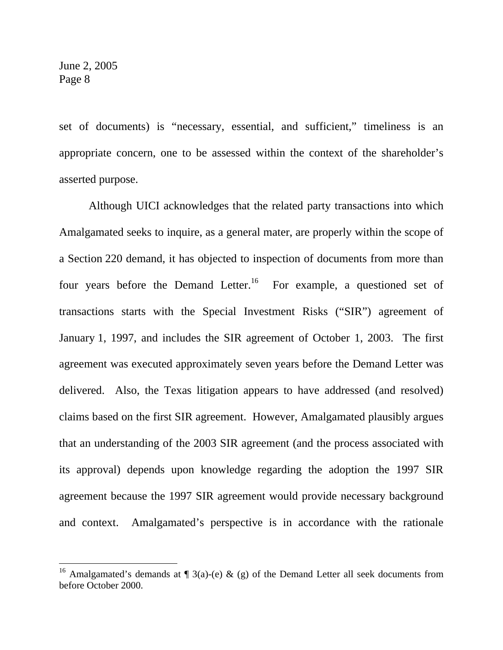$\overline{a}$ 

set of documents) is "necessary, essential, and sufficient," timeliness is an appropriate concern, one to be assessed within the context of the shareholder's asserted purpose.

 Although UICI acknowledges that the related party transactions into which Amalgamated seeks to inquire, as a general mater, are properly within the scope of a Section 220 demand, it has objected to inspection of documents from more than four years before the Demand Letter.<sup>16</sup> For example, a questioned set of transactions starts with the Special Investment Risks ("SIR") agreement of January 1, 1997, and includes the SIR agreement of October 1, 2003. The first agreement was executed approximately seven years before the Demand Letter was delivered. Also, the Texas litigation appears to have addressed (and resolved) claims based on the first SIR agreement. However, Amalgamated plausibly argues that an understanding of the 2003 SIR agreement (and the process associated with its approval) depends upon knowledge regarding the adoption the 1997 SIR agreement because the 1997 SIR agreement would provide necessary background and context. Amalgamated's perspective is in accordance with the rationale

<sup>&</sup>lt;sup>16</sup> Amalgamated's demands at  $\P$  3(a)-(e) & (g) of the Demand Letter all seek documents from before October 2000.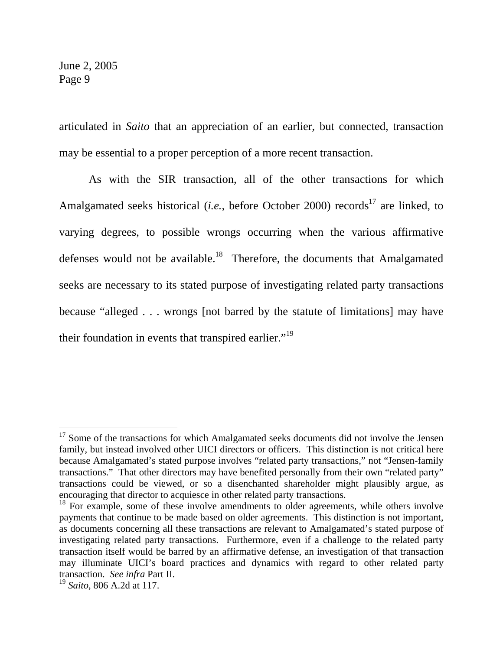articulated in *Saito* that an appreciation of an earlier, but connected, transaction may be essential to a proper perception of a more recent transaction.

As with the SIR transaction, all of the other transactions for which Amalgamated seeks historical (*i.e.*, before October 2000) records<sup>17</sup> are linked, to varying degrees, to possible wrongs occurring when the various affirmative defenses would not be available.<sup>18</sup> Therefore, the documents that Amalgamated seeks are necessary to its stated purpose of investigating related party transactions because "alleged . . . wrongs [not barred by the statute of limitations] may have their foundation in events that transpired earlier."<sup>19</sup>

 $17$  Some of the transactions for which Amalgamated seeks documents did not involve the Jensen family, but instead involved other UICI directors or officers. This distinction is not critical here because Amalgamated's stated purpose involves "related party transactions," not "Jensen-family transactions." That other directors may have benefited personally from their own "related party" transactions could be viewed, or so a disenchanted shareholder might plausibly argue, as encouraging that director to acquiesce in other related party transactions.

<sup>&</sup>lt;sup>18</sup> For example, some of these involve amendments to older agreements, while others involve payments that continue to be made based on older agreements. This distinction is not important, as documents concerning all these transactions are relevant to Amalgamated's stated purpose of investigating related party transactions. Furthermore, even if a challenge to the related party transaction itself would be barred by an affirmative defense, an investigation of that transaction may illuminate UICI's board practices and dynamics with regard to other related party transaction. *See infra* Part II.

<sup>19</sup> *Saito*, 806 A.2d at 117.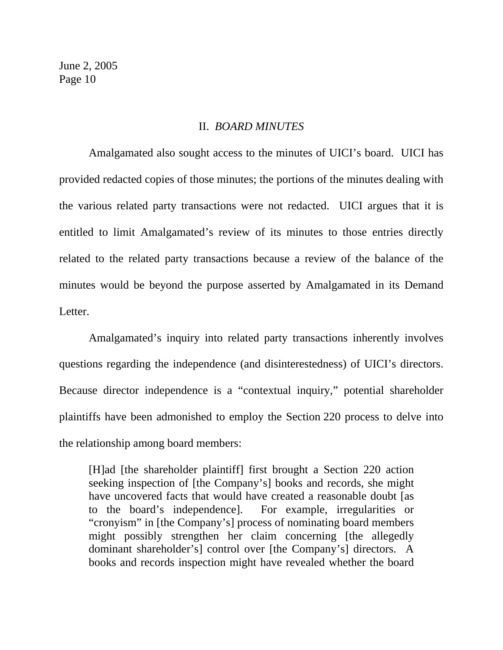#### II.*BOARD MINUTES*

 Amalgamated also sought access to the minutes of UICI's board. UICI has provided redacted copies of those minutes; the portions of the minutes dealing with the various related party transactions were not redacted. UICI argues that it is entitled to limit Amalgamated's review of its minutes to those entries directly related to the related party transactions because a review of the balance of the minutes would be beyond the purpose asserted by Amalgamated in its Demand Letter.

 Amalgamated's inquiry into related party transactions inherently involves questions regarding the independence (and disinterestedness) of UICI's directors. Because director independence is a "contextual inquiry," potential shareholder plaintiffs have been admonished to employ the Section 220 process to delve into the relationship among board members:

[H]ad [the shareholder plaintiff] first brought a Section 220 action seeking inspection of [the Company's] books and records, she might have uncovered facts that would have created a reasonable doubt [as to the board's independence]. For example, irregularities or "cronyism" in [the Company's] process of nominating board members might possibly strengthen her claim concerning [the allegedly dominant shareholder's] control over [the Company's] directors. A books and records inspection might have revealed whether the board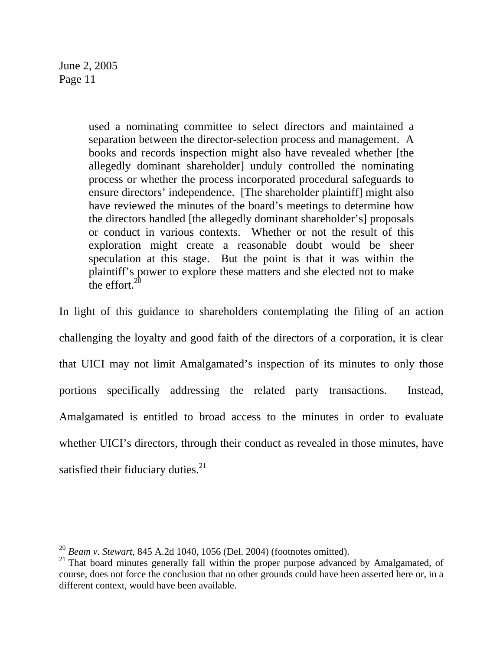$\overline{a}$ 

used a nominating committee to select directors and maintained a separation between the director-selection process and management. A books and records inspection might also have revealed whether [the allegedly dominant shareholder] unduly controlled the nominating process or whether the process incorporated procedural safeguards to ensure directors' independence. [The shareholder plaintiff] might also have reviewed the minutes of the board's meetings to determine how the directors handled [the allegedly dominant shareholder's] proposals or conduct in various contexts. Whether or not the result of this exploration might create a reasonable doubt would be sheer speculation at this stage. But the point is that it was within the plaintiff's power to explore these matters and she elected not to make the effort. $20$ 

In light of this guidance to shareholders contemplating the filing of an action challenging the loyalty and good faith of the directors of a corporation, it is clear that UICI may not limit Amalgamated's inspection of its minutes to only those portions specifically addressing the related party transactions. Instead, Amalgamated is entitled to broad access to the minutes in order to evaluate whether UICI's directors, through their conduct as revealed in those minutes, have satisfied their fiduciary duties. $21$ 

<sup>20</sup> *Beam v. Stewart*, 845 A.2d 1040, 1056 (Del. 2004) (footnotes omitted).

 $21$  That board minutes generally fall within the proper purpose advanced by Amalgamated, of course, does not force the conclusion that no other grounds could have been asserted here or, in a different context, would have been available.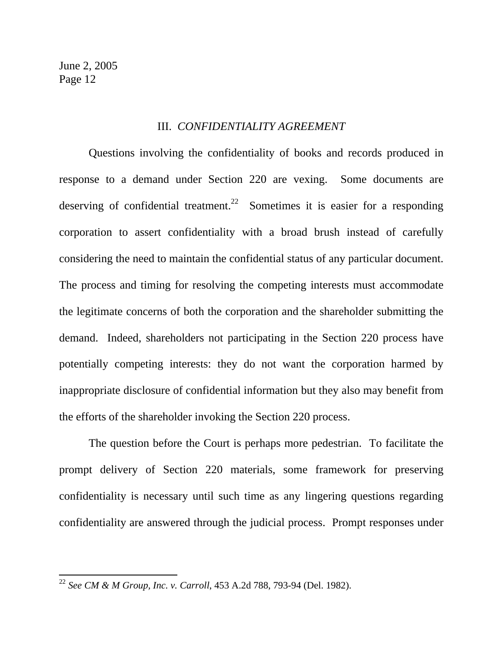$\overline{a}$ 

#### III. *CONFIDENTIALITY AGREEMENT*

 Questions involving the confidentiality of books and records produced in response to a demand under Section 220 are vexing. Some documents are deserving of confidential treatment.<sup>22</sup> Sometimes it is easier for a responding corporation to assert confidentiality with a broad brush instead of carefully considering the need to maintain the confidential status of any particular document. The process and timing for resolving the competing interests must accommodate the legitimate concerns of both the corporation and the shareholder submitting the demand. Indeed, shareholders not participating in the Section 220 process have potentially competing interests: they do not want the corporation harmed by inappropriate disclosure of confidential information but they also may benefit from the efforts of the shareholder invoking the Section 220 process.

 The question before the Court is perhaps more pedestrian. To facilitate the prompt delivery of Section 220 materials, some framework for preserving confidentiality is necessary until such time as any lingering questions regarding confidentiality are answered through the judicial process. Prompt responses under

<sup>22</sup> *See CM & M Group, Inc. v. Carroll*, 453 A.2d 788, 793-94 (Del. 1982).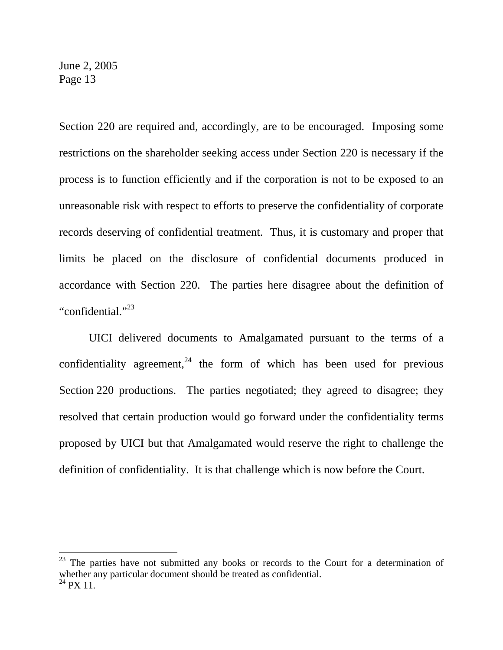$\overline{a}$ 

Section 220 are required and, accordingly, are to be encouraged. Imposing some restrictions on the shareholder seeking access under Section 220 is necessary if the process is to function efficiently and if the corporation is not to be exposed to an unreasonable risk with respect to efforts to preserve the confidentiality of corporate records deserving of confidential treatment. Thus, it is customary and proper that limits be placed on the disclosure of confidential documents produced in accordance with Section 220. The parties here disagree about the definition of "confidential."<sup>23</sup>

 UICI delivered documents to Amalgamated pursuant to the terms of a confidentiality agreement,<sup>24</sup> the form of which has been used for previous Section 220 productions. The parties negotiated; they agreed to disagree; they resolved that certain production would go forward under the confidentiality terms proposed by UICI but that Amalgamated would reserve the right to challenge the definition of confidentiality. It is that challenge which is now before the Court.

 $^{23}$  The parties have not submitted any books or records to the Court for a determination of whether any particular document should be treated as confidential.  $24$  PX 11.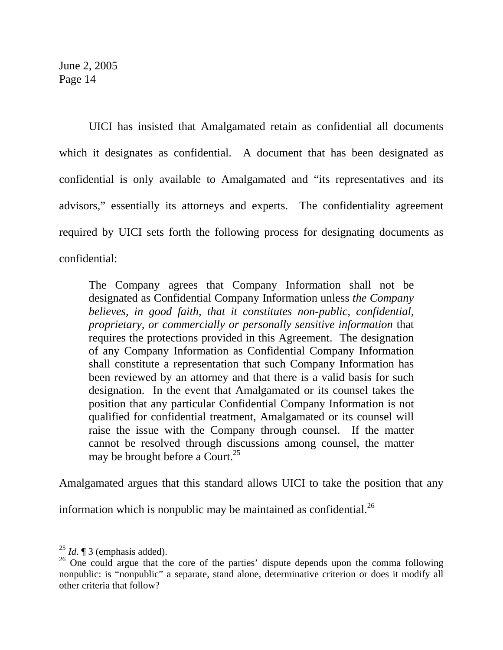UICI has insisted that Amalgamated retain as confidential all documents which it designates as confidential. A document that has been designated as confidential is only available to Amalgamated and "its representatives and its advisors," essentially its attorneys and experts. The confidentiality agreement required by UICI sets forth the following process for designating documents as confidential:

The Company agrees that Company Information shall not be designated as Confidential Company Information unless *the Company believes, in good faith, that it constitutes non-public, confidential, proprietary, or commercially or personally sensitive information* that requires the protections provided in this Agreement. The designation of any Company Information as Confidential Company Information shall constitute a representation that such Company Information has been reviewed by an attorney and that there is a valid basis for such designation. In the event that Amalgamated or its counsel takes the position that any particular Confidential Company Information is not qualified for confidential treatment, Amalgamated or its counsel will raise the issue with the Company through counsel. If the matter cannot be resolved through discussions among counsel, the matter may be brought before a Court.<sup>25</sup>

Amalgamated argues that this standard allows UICI to take the position that any

information which is nonpublic may be maintained as confidential. $^{26}$ 

 $^{25}$  *Id.*  $\sqrt{\phantom{a}}$  3 (emphasis added).

 $26$  One could argue that the core of the parties' dispute depends upon the comma following nonpublic: is "nonpublic" a separate, stand alone, determinative criterion or does it modify all other criteria that follow?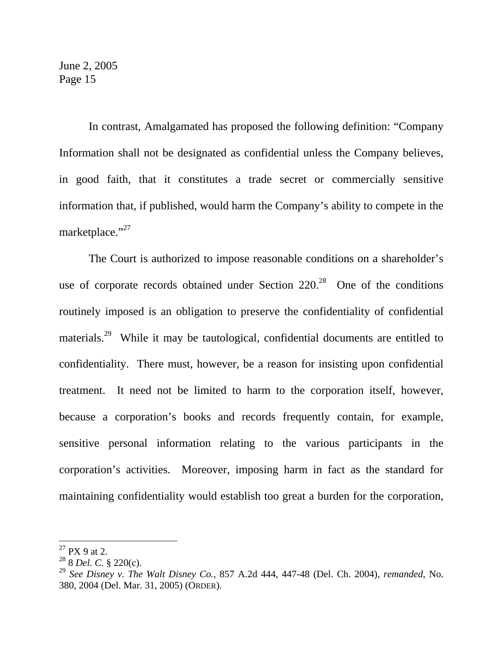In contrast, Amalgamated has proposed the following definition: "Company Information shall not be designated as confidential unless the Company believes, in good faith, that it constitutes a trade secret or commercially sensitive information that, if published, would harm the Company's ability to compete in the marketplace."<sup>27</sup>

 The Court is authorized to impose reasonable conditions on a shareholder's use of corporate records obtained under Section  $220<sup>28</sup>$  One of the conditions routinely imposed is an obligation to preserve the confidentiality of confidential materials.<sup>29</sup> While it may be tautological, confidential documents are entitled to confidentiality. There must, however, be a reason for insisting upon confidential treatment. It need not be limited to harm to the corporation itself, however, because a corporation's books and records frequently contain, for example, sensitive personal information relating to the various participants in the corporation's activities. Moreover, imposing harm in fact as the standard for maintaining confidentiality would establish too great a burden for the corporation,

 $27$  PX 9 at 2.

 $^{28}$  8 *Del. C.* § 220(c).

<sup>29</sup> *See Disney v. The Walt Disney Co.*, 857 A.2d 444, 447-48 (Del. Ch. 2004), *remanded*, No. 380, 2004 (Del. Mar. 31, 2005) (ORDER).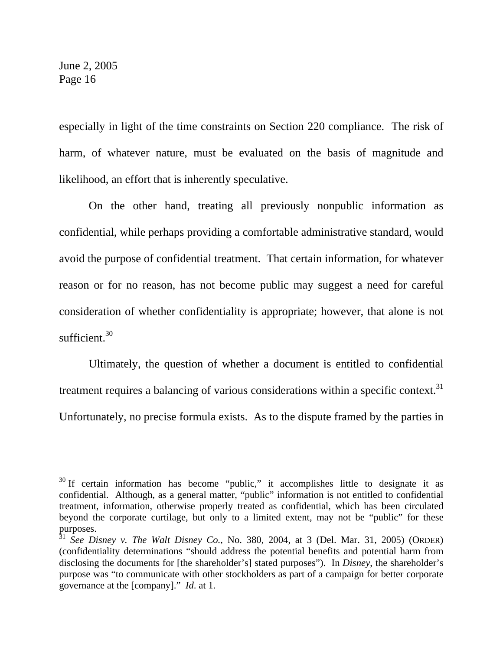$\overline{a}$ 

especially in light of the time constraints on Section 220 compliance. The risk of harm, of whatever nature, must be evaluated on the basis of magnitude and likelihood, an effort that is inherently speculative.

 On the other hand, treating all previously nonpublic information as confidential, while perhaps providing a comfortable administrative standard, would avoid the purpose of confidential treatment. That certain information, for whatever reason or for no reason, has not become public may suggest a need for careful consideration of whether confidentiality is appropriate; however, that alone is not sufficient  $30$ 

 Ultimately, the question of whether a document is entitled to confidential treatment requires a balancing of various considerations within a specific context.<sup>31</sup> Unfortunately, no precise formula exists. As to the dispute framed by the parties in

<sup>&</sup>lt;sup>30</sup> If certain information has become "public," it accomplishes little to designate it as confidential. Although, as a general matter, "public" information is not entitled to confidential treatment, information, otherwise properly treated as confidential, which has been circulated beyond the corporate curtilage, but only to a limited extent, may not be "public" for these purposes.

<sup>31</sup> *See Disney v. The Walt Disney Co.*, No. 380, 2004, at 3 (Del. Mar. 31, 2005) (ORDER) (confidentiality determinations "should address the potential benefits and potential harm from disclosing the documents for [the shareholder's] stated purposes"). In *Disney*, the shareholder's purpose was "to communicate with other stockholders as part of a campaign for better corporate governance at the [company]." *Id*. at 1.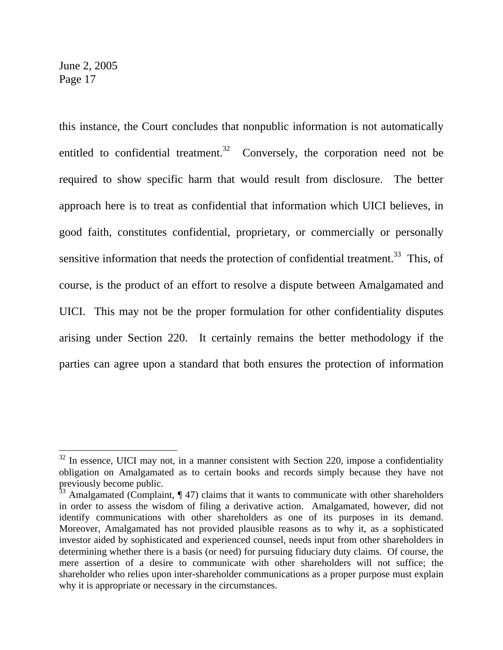$\overline{a}$ 

this instance, the Court concludes that nonpublic information is not automatically entitled to confidential treatment.<sup>32</sup> Conversely, the corporation need not be required to show specific harm that would result from disclosure. The better approach here is to treat as confidential that information which UICI believes, in good faith, constitutes confidential, proprietary, or commercially or personally sensitive information that needs the protection of confidential treatment.<sup>33</sup> This, of course, is the product of an effort to resolve a dispute between Amalgamated and UICI. This may not be the proper formulation for other confidentiality disputes arising under Section 220. It certainly remains the better methodology if the parties can agree upon a standard that both ensures the protection of information

 $32$  In essence, UICI may not, in a manner consistent with Section 220, impose a confidentiality obligation on Amalgamated as to certain books and records simply because they have not previously become public.

 $33$  Amalgamated (Complaint,  $\P$  47) claims that it wants to communicate with other shareholders in order to assess the wisdom of filing a derivative action. Amalgamated, however, did not identify communications with other shareholders as one of its purposes in its demand. Moreover, Amalgamated has not provided plausible reasons as to why it, as a sophisticated investor aided by sophisticated and experienced counsel, needs input from other shareholders in determining whether there is a basis (or need) for pursuing fiduciary duty claims. Of course, the mere assertion of a desire to communicate with other shareholders will not suffice; the shareholder who relies upon inter-shareholder communications as a proper purpose must explain why it is appropriate or necessary in the circumstances.